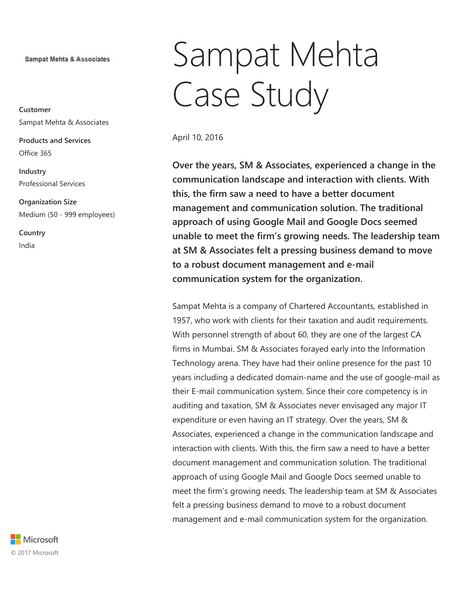**Sampat Mehta & Associates** 

Customer Sampat Mehta & Associates

Products and Services Office 365

Industry Professional Services

Organization Size Medium (50 - 999 employees)

**Country** India

# Sampat Mehta Case Study

April 10, 2016

Over the years, SM & Associates, experienced a change in the communication landscape and interaction with clients. With this, the firm saw a need to have a better document management and communication solution. The traditional approach of using Google Mail and Google Docs seemed unable to meet the firm's growing needs. The leadership team at SM & Associates felt a pressing business demand to move to a robust document management and e-mail communication system for the organization.

Sampat Mehta is a company of Chartered Accountants, established in 1957, who work with clients for their taxation and audit requirements. With personnel strength of about 60, they are one of the largest CA firms in Mumbai. SM & Associates forayed early into the Information Technology arena. They have had their online presence for the past 10 years including a dedicated domain-name and the use of google-mail as their E-mail communication system. Since their core competency is in auditing and taxation, SM & Associates never envisaged any major IT expenditure or even having an IT strategy. Over the years, SM & Associates, experienced a change in the communication landscape and interaction with clients. With this, the firm saw a need to have a better document management and communication solution. The traditional approach of using Google Mail and Google Docs seemed unable to meet the firm's growing needs. The leadership team at SM & Associates felt a pressing business demand to move to a robust document management and e-mail communication system for the organization.

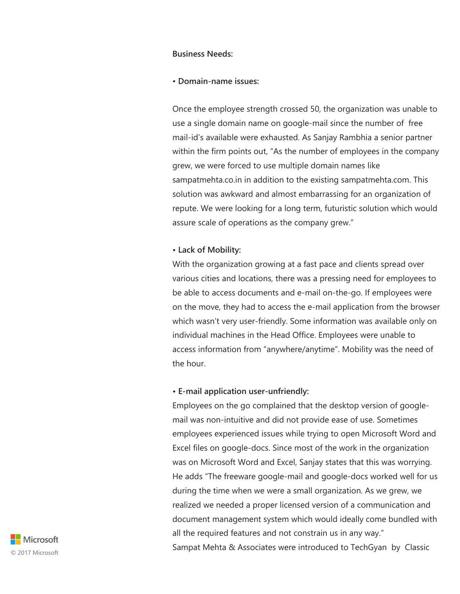# Business Needs:

#### • Domain-name issues:

Once the employee strength crossed 50, the organization was unable to use a single domain name on google-mail since the number of free mail-id's available were exhausted. As Sanjay Rambhia a senior partner within the firm points out, "As the number of employees in the company grew, we were forced to use multiple domain names like sampatmehta.co.in in addition to the existing sampatmehta.com. This solution was awkward and almost embarrassing for an organization of repute. We were looking for a long term, futuristic solution which would assure scale of operations as the company grew."

# • Lack of Mobility:

With the organization growing at a fast pace and clients spread over various cities and locations, there was a pressing need for employees to be able to access documents and e-mail on-the-go. If employees were on the move, they had to access the e-mail application from the browser which wasn't very user-friendly. Some information was available only on individual machines in the Head Office. Employees were unable to access information from "anywhere/anytime". Mobility was the need of the hour.

# • E-mail application user-unfriendly:

Employees on the go complained that the desktop version of googlemail was non-intuitive and did not provide ease of use. Sometimes employees experienced issues while trying to open Microsoft Word and Excel files on google-docs. Since most of the work in the organization was on Microsoft Word and Excel, Sanjay states that this was worrying. He adds "The freeware google-mail and google-docs worked well for us during the time when we were a small organization. As we grew, we realized we needed a proper licensed version of a communication and document management system which would ideally come bundled with all the required features and not constrain us in any way." Sampat Mehta & Associates were introduced to TechGyan by Classic

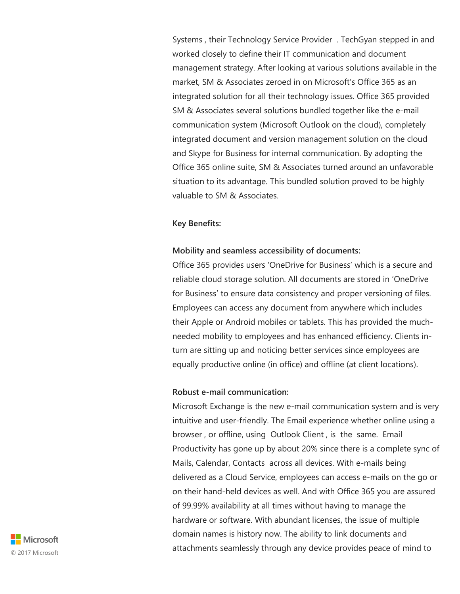Systems , their Technology Service Provider . TechGyan stepped in and worked closely to define their IT communication and document management strategy. After looking at various solutions available in the market, SM & Associates zeroed in on Microsoft's Office 365 as an integrated solution for all their technology issues. Office 365 provided SM & Associates several solutions bundled together like the e-mail communication system (Microsoft Outlook on the cloud), completely integrated document and version management solution on the cloud and Skype for Business for internal communication. By adopting the Office 365 online suite, SM & Associates turned around an unfavorable situation to its advantage. This bundled solution proved to be highly valuable to SM & Associates.

#### Key Benefits:

#### Mobility and seamless accessibility of documents:

Office 365 provides users 'OneDrive for Business' which is a secure and reliable cloud storage solution. All documents are stored in 'OneDrive for Business' to ensure data consistency and proper versioning of files. Employees can access any document from anywhere which includes their Apple or Android mobiles or tablets. This has provided the muchneeded mobility to employees and has enhanced efficiency. Clients inturn are sitting up and noticing better services since employees are equally productive online (in office) and offline (at client locations).

#### Robust e-mail communication:

Microsoft Exchange is the new e-mail communication system and is very intuitive and user-friendly. The Email experience whether online using a browser , or offline, using Outlook Client , is the same. Email Productivity has gone up by about 20% since there is a complete sync of Mails, Calendar, Contacts across all devices. With e-mails being delivered as a Cloud Service, employees can access e-mails on the go or on their hand-held devices as well. And with Office 365 you are assured of 99.99% availability at all times without having to manage the hardware or software. With abundant licenses, the issue of multiple domain names is history now. The ability to link documents and attachments seamlessly through any device provides peace of mind to